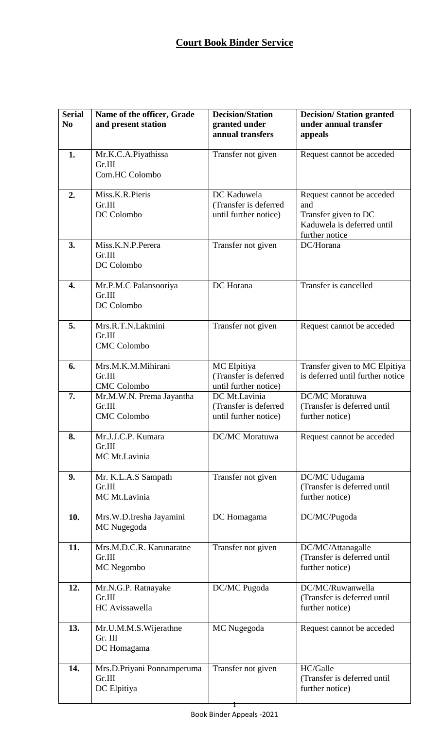## **Court Book Binder Service**

| <b>Serial</b><br>N <sub>0</sub> | Name of the officer, Grade<br>and present station        | <b>Decision/Station</b><br>granted under<br>annual transfers    | <b>Decision/Station granted</b><br>under annual transfer<br>appeals                                      |
|---------------------------------|----------------------------------------------------------|-----------------------------------------------------------------|----------------------------------------------------------------------------------------------------------|
| 1.                              | Mr.K.C.A.Piyathissa<br>Gr.III<br>Com.HC Colombo          | Transfer not given                                              | Request cannot be acceded                                                                                |
| 2.                              | Miss.K.R.Pieris<br>Gr.III<br>DC Colombo                  | DC Kaduwela<br>(Transfer is deferred<br>until further notice)   | Request cannot be acceded<br>and<br>Transfer given to DC<br>Kaduwela is deferred until<br>further notice |
| 3.                              | Miss.K.N.P.Perera<br>Gr.III<br>DC Colombo                | Transfer not given                                              | DC/Horana                                                                                                |
| 4.                              | Mr.P.M.C Palansooriya<br>Gr.III<br>DC Colombo            | DC Horana                                                       | Transfer is cancelled                                                                                    |
| 5.                              | Mrs.R.T.N.Lakmini<br>Gr.III<br><b>CMC</b> Colombo        | Transfer not given                                              | Request cannot be acceded                                                                                |
| 6.                              | Mrs.M.K.M.Mihirani<br>Gr.III<br><b>CMC</b> Colombo       | MC Elpitiya<br>(Transfer is deferred<br>until further notice)   | Transfer given to MC Elpitiya<br>is deferred until further notice                                        |
| 7.                              | Mr.M.W.N. Prema Jayantha<br>Gr.III<br><b>CMC</b> Colombo | DC Mt.Lavinia<br>(Transfer is deferred<br>until further notice) | DC/MC Moratuwa<br>(Transfer is deferred until<br>further notice)                                         |
| 8.                              | Mr.J.J.C.P. Kumara<br>Gr.III<br>MC Mt.Lavinia            | <b>DC/MC</b> Moratuwa                                           | Request cannot be acceded                                                                                |
| 9.                              | Mr. K.L.A.S Sampath<br>Gr.III<br>MC Mt.Lavinia           | Transfer not given                                              | DC/MC Udugama<br>(Transfer is deferred until<br>further notice)                                          |
| 10.                             | Mrs.W.D.Iresha Jayamini<br>MC Nugegoda                   | DC Homagama                                                     | DC/MC/Pugoda                                                                                             |
| 11.                             | Mrs.M.D.C.R. Karunaratne<br>Gr.III<br>MC Negombo         | Transfer not given                                              | DC/MC/Attanagalle<br>(Transfer is deferred until<br>further notice)                                      |
| 12.                             | Mr.N.G.P. Ratnayake<br>Gr.III<br>HC Avissawella          | DC/MC Pugoda                                                    | DC/MC/Ruwanwella<br>(Transfer is deferred until<br>further notice)                                       |
| 13.                             | Mr.U.M.M.S.Wijerathne<br>Gr. III<br>DC Homagama          | MC Nugegoda                                                     | Request cannot be acceded                                                                                |
| 14.                             | Mrs.D.Priyani Ponnamperuma<br>Gr.III<br>DC Elpitiya      | Transfer not given                                              | HC/Galle<br>(Transfer is deferred until<br>further notice)                                               |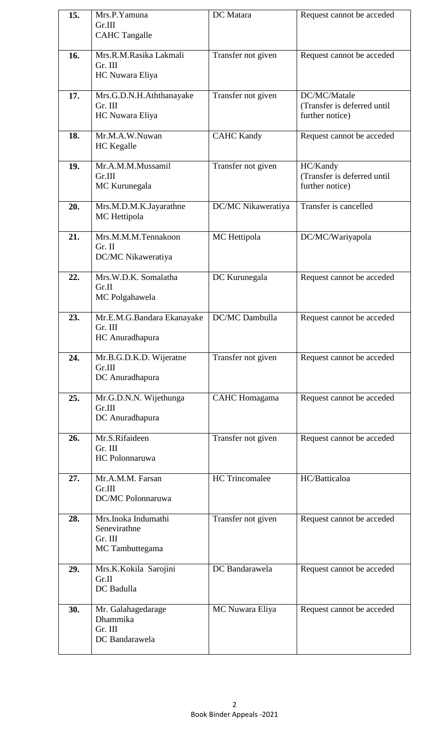| 15. | Mrs.P.Yamuna<br>Gr.III<br><b>CAHC Tangalle</b>                    | DC Matara             | Request cannot be acceded                                      |
|-----|-------------------------------------------------------------------|-----------------------|----------------------------------------------------------------|
| 16. | Mrs.R.M.Rasika Lakmali<br>Gr. III<br>HC Nuwara Eliya              | Transfer not given    | Request cannot be acceded                                      |
| 17. | Mrs.G.D.N.H.Aththanayake<br>Gr. III<br>HC Nuwara Eliya            | Transfer not given    | DC/MC/Matale<br>(Transfer is deferred until<br>further notice) |
| 18. | Mr.M.A.W.Nuwan<br><b>HC</b> Kegalle                               | <b>CAHC Kandy</b>     | Request cannot be acceded                                      |
| 19. | Mr.A.M.M.Mussamil<br>Gr.III<br>MC Kurunegala                      | Transfer not given    | HC/Kandy<br>(Transfer is deferred until<br>further notice)     |
| 20. | Mrs.M.D.M.K.Jayarathne<br>MC Hettipola                            | DC/MC Nikaweratiya    | Transfer is cancelled                                          |
| 21. | Mrs.M.M.M.Tennakoon<br>Gr. II<br>DC/MC Nikaweratiya               | MC Hettipola          | DC/MC/Wariyapola                                               |
| 22. | Mrs.W.D.K. Somalatha<br>Gr.II<br>MC Polgahawela                   | DC Kurunegala         | Request cannot be acceded                                      |
| 23. | Mr.E.M.G.Bandara Ekanayake<br>Gr. III<br>HC Anuradhapura          | DC/MC Dambulla        | Request cannot be acceded                                      |
| 24. | Mr.B.G.D.K.D. Wijeratne<br>Gr.III<br>DC Anuradhapura              | Transfer not given    | Request cannot be acceded                                      |
| 25. | Mr.G.D.N.N. Wijethunga<br>Gr.III<br>DC Anuradhapura               | <b>CAHC</b> Homagama  | Request cannot be acceded                                      |
| 26. | Mr.S.Rifaideen<br>Gr. III<br>HC Polonnaruwa                       | Transfer not given    | Request cannot be acceded                                      |
| 27. | Mr.A.M.M. Farsan<br>Gr.III<br>DC/MC Polonnaruwa                   | <b>HC</b> Trincomalee | HC/Batticaloa                                                  |
| 28. | Mrs.Inoka Indumathi<br>Senevirathne<br>Gr. III<br>MC Tambuttegama | Transfer not given    | Request cannot be acceded                                      |
| 29. | Mrs.K.Kokila Sarojini<br>Gr.II<br>DC Badulla                      | DC Bandarawela        | Request cannot be acceded                                      |
| 30. | Mr. Galahagedarage<br>Dhammika<br>Gr. III<br>DC Bandarawela       | MC Nuwara Eliya       | Request cannot be acceded                                      |